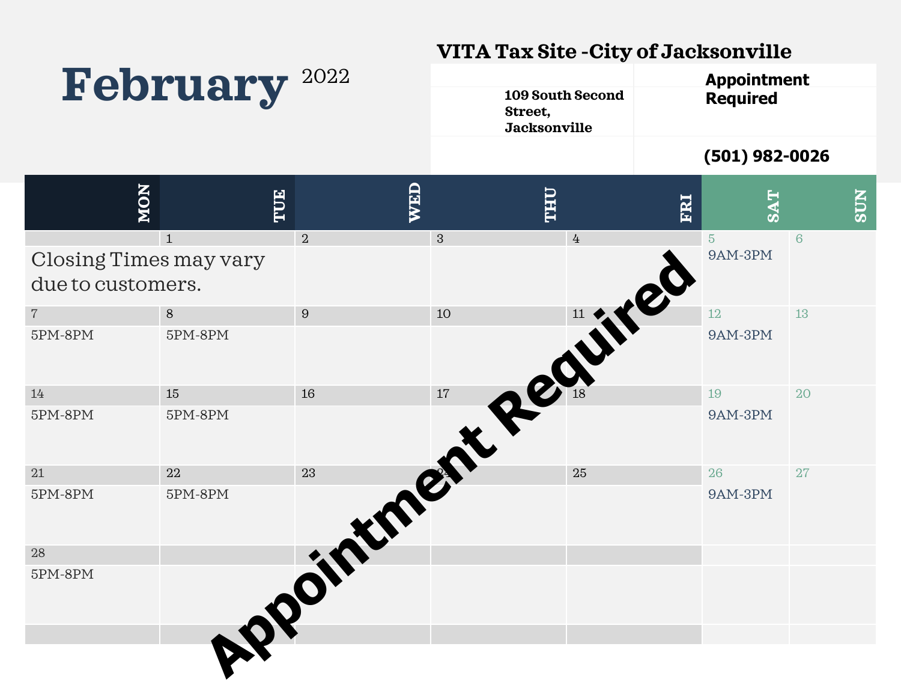## **VITA Tax Site -City of Jacksonville**

| February               |              | 2022<br>Street,<br><b>Jacksonville</b> |                                  | 109 South Second | <b>Appointment</b><br><b>Required</b> |                 |
|------------------------|--------------|----------------------------------------|----------------------------------|------------------|---------------------------------------|-----------------|
|                        |              |                                        |                                  |                  | $(501)$ 982-0026                      |                 |
| NON                    | TUE          | WED                                    | <b><i><u><b>OHLL</b></u></i></b> | ERI              | <b>TAPS</b>                           | <b>NIDS</b>     |
| Closing Times may vary | $\mathbf{1}$ | $\overline{2}$                         | 3                                | $\overline{4}$   | $\overline{5}$<br><b>9AM-3PM</b>      | $6\phantom{1}6$ |
| due to customers.      |              |                                        |                                  |                  |                                       |                 |
| $\sqrt{ }$             | 8            | $\boldsymbol{9}$                       | 10                               |                  | 12                                    | 13              |
| 5PM-8PM                | 5PM-8PM      |                                        |                                  | OUTILE           | 9AM-3PM                               |                 |
| 14                     | 15           |                                        |                                  |                  | 19                                    | 20              |
| 5PM-8PM                | 5PM-8PM      |                                        |                                  |                  | 9AM-3PM                               |                 |
| 21                     | 22           |                                        |                                  |                  | 26                                    | 27              |
| 5PM-8PM                | 5PM-8PM      |                                        | into entrepen                    |                  | 9AM-3PM                               |                 |
| 28                     |              |                                        |                                  |                  |                                       |                 |
| $5PM-8PM$              | LPPOI        |                                        |                                  |                  |                                       |                 |
|                        |              |                                        |                                  |                  |                                       |                 |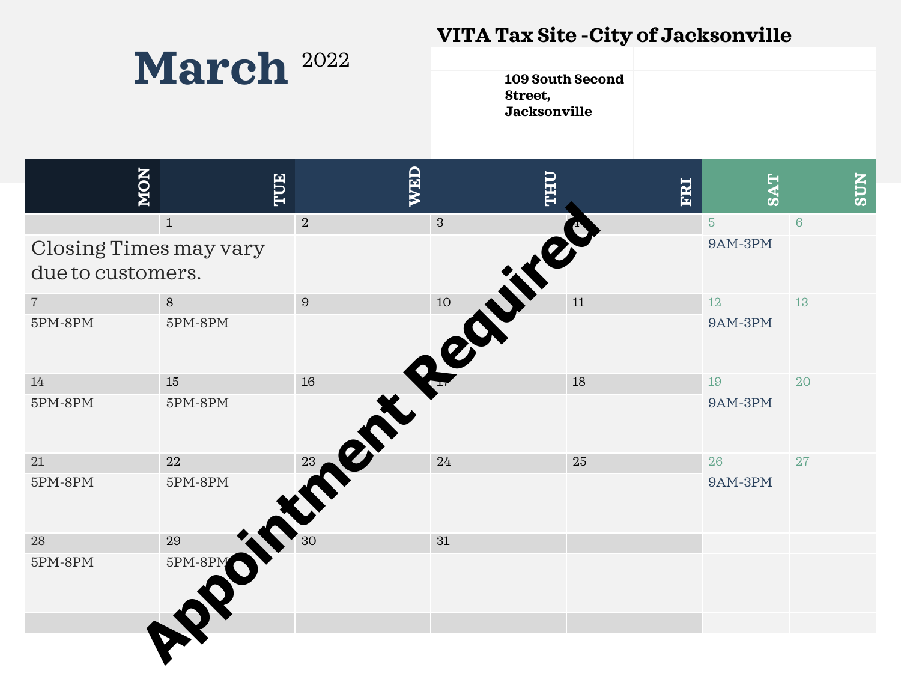## **VITA Tax Site -City of Jacksonville**

| March <sup>2022</sup> |  |
|-----------------------|--|
|-----------------------|--|

| <b>109 South Second</b> |  |
|-------------------------|--|
| Street,                 |  |
| <b>Jacksonville</b>     |  |
|                         |  |

| NON                                | TUE                                | WED            | <b>UHL</b>   | ERI | <b>SAT</b>     | <b>NLGS</b> |
|------------------------------------|------------------------------------|----------------|--------------|-----|----------------|-------------|
|                                    | $1\,$                              | $\overline{2}$ | $\mathbf{3}$ |     | $5\phantom{.}$ | $\sqrt{6}$  |
| Closing Times may vary             |                                    |                |              |     | $9AM-3PM$      |             |
| due to customers.                  |                                    |                |              |     |                |             |
| $7\overline{ }$                    | $8\,$                              | 9              | 10           | 11  | $12\,$         | 13          |
| $5\mathrm{PM}\text{-}8\mathrm{PM}$ | $5\mathrm{PM}\text{-}8\mathrm{PM}$ |                |              |     | $9AM-3PM$      |             |
| 14                                 | 15                                 | 16             |              | 18  | 19             | 20          |
| $5\mathrm{PM}\text{-}8\mathrm{PM}$ | $5\mathrm{PM}\text{-}8\mathrm{PM}$ |                |              |     | $9AM-3PM$      |             |
| $21\,$                             | 22                                 | 23             | 24           | 25  | 26             | 27          |
| $5\mathrm{PM}\text{-}8\mathrm{PM}$ | $5\mathrm{PM}\text{-}8\mathrm{PM}$ |                |              |     | $9AM-3PM$      |             |
| 28                                 | 29                                 | 30             | 31           |     |                |             |
| $5\mathrm{PM}\text{-}8\mathrm{PM}$ | 5PM-8PM                            |                |              |     |                |             |
|                                    |                                    |                |              |     |                |             |